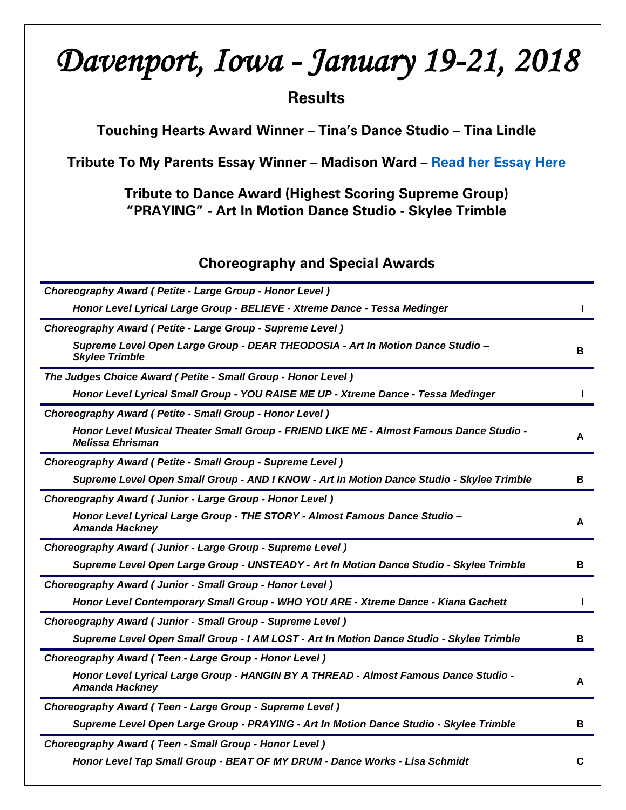# *Davenport, Iowa - January 19-21, 2018*

# **Results**

Touching Hearts Award Winner – Tina's Dance Studio – Tina Lindle

Tribute To My Parents Essay Winner - Madison Ward - [Read her Essay Here](http://tributetodance.com/wp-content/uploads/2018/01/davenport-essay18.pdf)

Tribute to Dance Award (Highest Scoring Supreme Group) "PRAYING" - Art In Motion Dance Studio - Skylee Trimble

# Choreography and Special Awards

| Choreography Award (Petite - Large Group - Honor Level)                                                            |   |
|--------------------------------------------------------------------------------------------------------------------|---|
| Honor Level Lyrical Large Group - BELIEVE - Xtreme Dance - Tessa Medinger                                          |   |
| Choreography Award (Petite - Large Group - Supreme Level)                                                          |   |
| Supreme Level Open Large Group - DEAR THEODOSIA - Art In Motion Dance Studio -<br><b>Skylee Trimble</b>            | в |
| The Judges Choice Award (Petite - Small Group - Honor Level)                                                       |   |
| Honor Level Lyrical Small Group - YOU RAISE ME UP - Xtreme Dance - Tessa Medinger                                  | L |
| Choreography Award (Petite - Small Group - Honor Level)                                                            |   |
| Honor Level Musical Theater Small Group - FRIEND LIKE ME - Almost Famous Dance Studio -<br><b>Melissa Ehrisman</b> | А |
| Choreography Award ( Petite - Small Group - Supreme Level )                                                        |   |
| Supreme Level Open Small Group - AND I KNOW - Art In Motion Dance Studio - Skylee Trimble                          | В |
| Choreography Award (Junior - Large Group - Honor Level)                                                            |   |
| Honor Level Lyrical Large Group - THE STORY - Almost Famous Dance Studio -<br>Amanda Hackney                       | A |
| Choreography Award (Junior - Large Group - Supreme Level)                                                          |   |
| Supreme Level Open Large Group - UNSTEADY - Art In Motion Dance Studio - Skylee Trimble                            | В |
| Choreography Award (Junior - Small Group - Honor Level)                                                            |   |
| Honor Level Contemporary Small Group - WHO YOU ARE - Xtreme Dance - Kiana Gachett                                  |   |
| Choreography Award (Junior - Small Group - Supreme Level)                                                          |   |
| Supreme Level Open Small Group - I AM LOST - Art In Motion Dance Studio - Skylee Trimble                           | В |
| Choreography Award (Teen - Large Group - Honor Level)                                                              |   |
| Honor Level Lyrical Large Group - HANGIN BY A THREAD - Almost Famous Dance Studio -<br>Amanda Hackney              | A |
| Choreography Award (Teen - Large Group - Supreme Level)                                                            |   |
| Supreme Level Open Large Group - PRAYING - Art In Motion Dance Studio - Skylee Trimble                             | В |
| Choreography Award (Teen - Small Group - Honor Level)                                                              |   |
| Honor Level Tap Small Group - BEAT OF MY DRUM - Dance Works - Lisa Schmidt                                         | C |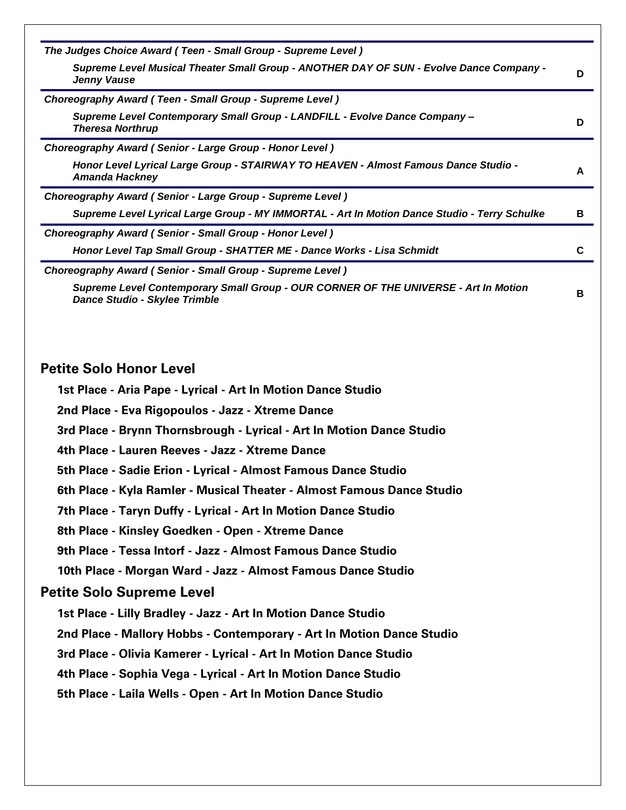| The Judges Choice Award (Teen - Small Group - Supreme Level)                                                                                                                                                                                                                                                                                                                                                                                                                                                                                                                                                                                                                        |   |
|-------------------------------------------------------------------------------------------------------------------------------------------------------------------------------------------------------------------------------------------------------------------------------------------------------------------------------------------------------------------------------------------------------------------------------------------------------------------------------------------------------------------------------------------------------------------------------------------------------------------------------------------------------------------------------------|---|
| Supreme Level Musical Theater Small Group - ANOTHER DAY OF SUN - Evolve Dance Company -<br>Jenny Vause                                                                                                                                                                                                                                                                                                                                                                                                                                                                                                                                                                              | D |
| Choreography Award (Teen - Small Group - Supreme Level)                                                                                                                                                                                                                                                                                                                                                                                                                                                                                                                                                                                                                             |   |
| Supreme Level Contemporary Small Group - LANDFILL - Evolve Dance Company -<br><b>Theresa Northrup</b>                                                                                                                                                                                                                                                                                                                                                                                                                                                                                                                                                                               | D |
| Choreography Award (Senior - Large Group - Honor Level)                                                                                                                                                                                                                                                                                                                                                                                                                                                                                                                                                                                                                             |   |
| Honor Level Lyrical Large Group - STAIRWAY TO HEAVEN - Almost Famous Dance Studio -<br><b>Amanda Hackney</b>                                                                                                                                                                                                                                                                                                                                                                                                                                                                                                                                                                        | A |
| Choreography Award (Senior - Large Group - Supreme Level)                                                                                                                                                                                                                                                                                                                                                                                                                                                                                                                                                                                                                           |   |
| Supreme Level Lyrical Large Group - MY IMMORTAL - Art In Motion Dance Studio - Terry Schulke                                                                                                                                                                                                                                                                                                                                                                                                                                                                                                                                                                                        | В |
| <b>Choreography Award (Senior - Small Group - Honor Level)</b>                                                                                                                                                                                                                                                                                                                                                                                                                                                                                                                                                                                                                      |   |
| Honor Level Tap Small Group - SHATTER ME - Dance Works - Lisa Schmidt                                                                                                                                                                                                                                                                                                                                                                                                                                                                                                                                                                                                               | C |
| Choreography Award (Senior - Small Group - Supreme Level)                                                                                                                                                                                                                                                                                                                                                                                                                                                                                                                                                                                                                           |   |
| Supreme Level Contemporary Small Group - OUR CORNER OF THE UNIVERSE - Art In Motion<br>Dance Studio - Skylee Trimble                                                                                                                                                                                                                                                                                                                                                                                                                                                                                                                                                                | в |
| 1st Place - Aria Pape - Lyrical - Art In Motion Dance Studio<br>2nd Place - Eva Rigopoulos - Jazz - Xtreme Dance<br>3rd Place - Brynn Thornsbrough - Lyrical - Art In Motion Dance Studio<br>4th Place - Lauren Reeves - Jazz - Xtreme Dance<br>5th Place - Sadie Erion - Lyrical - Almost Famous Dance Studio<br>6th Place - Kyla Ramler - Musical Theater - Almost Famous Dance Studio<br>7th Place - Taryn Duffy - Lyrical - Art In Motion Dance Studio<br>8th Place - Kinsley Goedken - Open - Xtreme Dance<br>9th Place - Tessa Intorf - Jazz - Almost Famous Dance Studio<br>10th Place - Morgan Ward - Jazz - Almost Famous Dance Studio<br><b>Petite Solo Supreme Level</b> |   |
| 1st Place - Lilly Bradley - Jazz - Art In Motion Dance Studio                                                                                                                                                                                                                                                                                                                                                                                                                                                                                                                                                                                                                       |   |
| 2nd Place - Mallory Hobbs - Contemporary - Art In Motion Dance Studio                                                                                                                                                                                                                                                                                                                                                                                                                                                                                                                                                                                                               |   |
|                                                                                                                                                                                                                                                                                                                                                                                                                                                                                                                                                                                                                                                                                     |   |
| 3rd Place - Olivia Kamerer - Lyrical - Art In Motion Dance Studio                                                                                                                                                                                                                                                                                                                                                                                                                                                                                                                                                                                                                   |   |
| 4th Place - Sophia Vega - Lyrical - Art In Motion Dance Studio                                                                                                                                                                                                                                                                                                                                                                                                                                                                                                                                                                                                                      |   |
| 5th Place - Laila Wells - Open - Art In Motion Dance Studio                                                                                                                                                                                                                                                                                                                                                                                                                                                                                                                                                                                                                         |   |
|                                                                                                                                                                                                                                                                                                                                                                                                                                                                                                                                                                                                                                                                                     |   |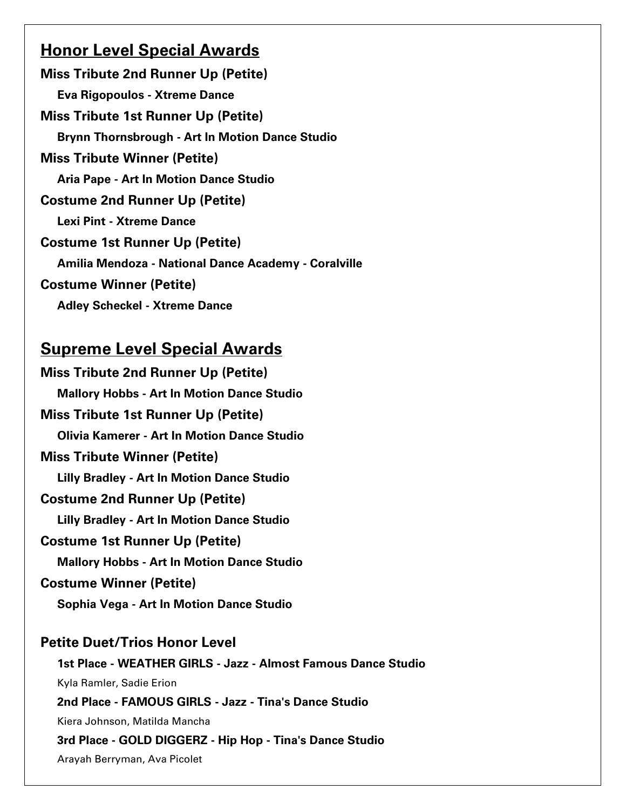# **Honor Level Special Awards**

Miss Tribute 2nd Runner Up (Petite) Eva Rigopoulos - Xtreme Dance Miss Tribute 1st Runner Up (Petite) Brynn Thornsbrough - Art In Motion Dance Studio Miss Tribute Winner (Petite) Aria Pape - Art In Motion Dance Studio Costume 2nd Runner Up (Petite) Lexi Pint - Xtreme Dance Costume 1st Runner Up (Petite) Amilia Mendoza - National Dance Academy - Coralville Costume Winner (Petite) Adley Scheckel - Xtreme Dance

# Supreme Level Special Awards

Miss Tribute 2nd Runner Up (Petite) Mallory Hobbs - Art In Motion Dance Studio Miss Tribute 1st Runner Up (Petite) Olivia Kamerer - Art In Motion Dance Studio Miss Tribute Winner (Petite) Lilly Bradley - Art In Motion Dance Studio Costume 2nd Runner Up (Petite) Lilly Bradley - Art In Motion Dance Studio Costume 1st Runner Up (Petite) Mallory Hobbs - Art In Motion Dance Studio Costume Winner (Petite) Sophia Vega - Art In Motion Dance Studio Petite Duet/Trios Honor Level 1st Place - WEATHER GIRLS - Jazz - Almost Famous Dance Studio Kyla Ramler, Sadie Erion 2nd Place - FAMOUS GIRLS - Jazz - Tina's Dance Studio Kiera Johnson, Matilda Mancha

### 3rd Place - GOLD DIGGERZ - Hip Hop - Tina's Dance Studio

Arayah Berryman, Ava Picolet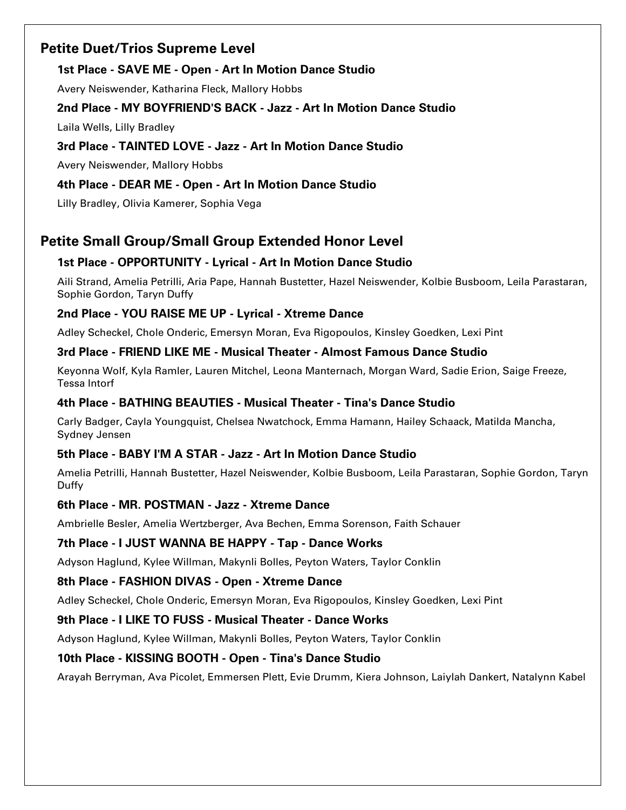# Petite Duet/Trios Supreme Level

# 1st Place - SAVE ME - Open - Art In Motion Dance Studio

Avery Neiswender, Katharina Fleck, Mallory Hobbs

### 2nd Place - MY BOYFRIEND'S BACK - Jazz - Art In Motion Dance Studio

Laila Wells, Lilly Bradley

### 3rd Place - TAINTED LOVE - Jazz - Art In Motion Dance Studio

Avery Neiswender, Mallory Hobbs

# 4th Place - DEAR ME - Open - Art In Motion Dance Studio

Lilly Bradley, Olivia Kamerer, Sophia Vega

# Petite Small Group/Small Group Extended Honor Level

# 1st Place - OPPORTUNITY - Lyrical - Art In Motion Dance Studio

Aili Strand, Amelia Petrilli, Aria Pape, Hannah Bustetter, Hazel Neiswender, Kolbie Busboom, Leila Parastaran, Sophie Gordon, Taryn Duffy

### 2nd Place - YOU RAISE ME UP - Lyrical - Xtreme Dance

Adley Scheckel, Chole Onderic, Emersyn Moran, Eva Rigopoulos, Kinsley Goedken, Lexi Pint

### 3rd Place - FRIEND LIKE ME - Musical Theater - Almost Famous Dance Studio

Keyonna Wolf, Kyla Ramler, Lauren Mitchel, Leona Manternach, Morgan Ward, Sadie Erion, Saige Freeze, Tessa Intorf

### 4th Place - BATHING BEAUTIES - Musical Theater - Tina's Dance Studio

Carly Badger, Cayla Youngquist, Chelsea Nwatchock, Emma Hamann, Hailey Schaack, Matilda Mancha, Sydney Jensen

### 5th Place - BABY I'M A STAR - Jazz - Art In Motion Dance Studio

Amelia Petrilli, Hannah Bustetter, Hazel Neiswender, Kolbie Busboom, Leila Parastaran, Sophie Gordon, Taryn Duffy

### 6th Place - MR. POSTMAN - Jazz - Xtreme Dance

Ambrielle Besler, Amelia Wertzberger, Ava Bechen, Emma Sorenson, Faith Schauer

# 7th Place - I JUST WANNA BE HAPPY - Tap - Dance Works

Adyson Haglund, Kylee Willman, Makynli Bolles, Peyton Waters, Taylor Conklin

# 8th Place - FASHION DIVAS - Open - Xtreme Dance

Adley Scheckel, Chole Onderic, Emersyn Moran, Eva Rigopoulos, Kinsley Goedken, Lexi Pint

### 9th Place - I LIKE TO FUSS - Musical Theater - Dance Works

Adyson Haglund, Kylee Willman, Makynli Bolles, Peyton Waters, Taylor Conklin

### 10th Place - KISSING BOOTH - Open - Tina's Dance Studio

Arayah Berryman, Ava Picolet, Emmersen Plett, Evie Drumm, Kiera Johnson, Laiylah Dankert, Natalynn Kabel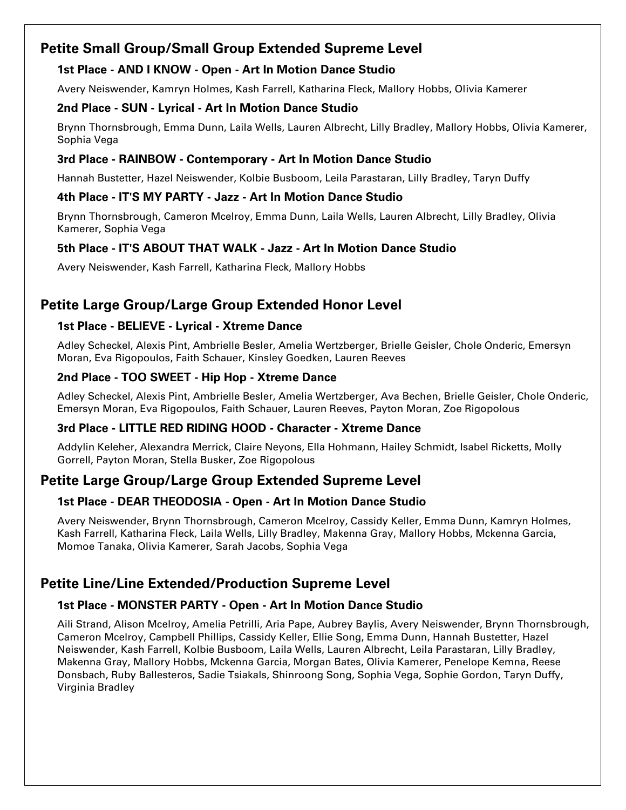# Petite Small Group/Small Group Extended Supreme Level

### 1st Place - AND I KNOW - Open - Art In Motion Dance Studio

Avery Neiswender, Kamryn Holmes, Kash Farrell, Katharina Fleck, Mallory Hobbs, Olivia Kamerer

### 2nd Place - SUN - Lyrical - Art In Motion Dance Studio

Brynn Thornsbrough, Emma Dunn, Laila Wells, Lauren Albrecht, Lilly Bradley, Mallory Hobbs, Olivia Kamerer, Sophia Vega

### 3rd Place - RAINBOW - Contemporary - Art In Motion Dance Studio

Hannah Bustetter, Hazel Neiswender, Kolbie Busboom, Leila Parastaran, Lilly Bradley, Taryn Duffy

### 4th Place - IT'S MY PARTY - Jazz - Art In Motion Dance Studio

Brynn Thornsbrough, Cameron Mcelroy, Emma Dunn, Laila Wells, Lauren Albrecht, Lilly Bradley, Olivia Kamerer, Sophia Vega

# 5th Place - IT'S ABOUT THAT WALK - Jazz - Art In Motion Dance Studio

Avery Neiswender, Kash Farrell, Katharina Fleck, Mallory Hobbs

# Petite Large Group/Large Group Extended Honor Level

# 1st Place - BELIEVE - Lyrical - Xtreme Dance

Adley Scheckel, Alexis Pint, Ambrielle Besler, Amelia Wertzberger, Brielle Geisler, Chole Onderic, Emersyn Moran, Eva Rigopoulos, Faith Schauer, Kinsley Goedken, Lauren Reeves

# 2nd Place - TOO SWEET - Hip Hop - Xtreme Dance

Adley Scheckel, Alexis Pint, Ambrielle Besler, Amelia Wertzberger, Ava Bechen, Brielle Geisler, Chole Onderic, Emersyn Moran, Eva Rigopoulos, Faith Schauer, Lauren Reeves, Payton Moran, Zoe Rigopolous

# 3rd Place - LITTLE RED RIDING HOOD - Character - Xtreme Dance

Addylin Keleher, Alexandra Merrick, Claire Neyons, Ella Hohmann, Hailey Schmidt, Isabel Ricketts, Molly Gorrell, Payton Moran, Stella Busker, Zoe Rigopolous

# Petite Large Group/Large Group Extended Supreme Level

# 1st Place - DEAR THEODOSIA - Open - Art In Motion Dance Studio

Avery Neiswender, Brynn Thornsbrough, Cameron Mcelroy, Cassidy Keller, Emma Dunn, Kamryn Holmes, Kash Farrell, Katharina Fleck, Laila Wells, Lilly Bradley, Makenna Gray, Mallory Hobbs, Mckenna Garcia, Momoe Tanaka, Olivia Kamerer, Sarah Jacobs, Sophia Vega

# Petite Line/Line Extended/Production Supreme Level

# 1st Place - MONSTER PARTY - Open - Art In Motion Dance Studio

Aili Strand, Alison Mcelroy, Amelia Petrilli, Aria Pape, Aubrey Baylis, Avery Neiswender, Brynn Thornsbrough, Cameron Mcelroy, Campbell Phillips, Cassidy Keller, Ellie Song, Emma Dunn, Hannah Bustetter, Hazel Neiswender, Kash Farrell, Kolbie Busboom, Laila Wells, Lauren Albrecht, Leila Parastaran, Lilly Bradley, Makenna Gray, Mallory Hobbs, Mckenna Garcia, Morgan Bates, Olivia Kamerer, Penelope Kemna, Reese Donsbach, Ruby Ballesteros, Sadie Tsiakals, Shinroong Song, Sophia Vega, Sophie Gordon, Taryn Duffy, Virginia Bradley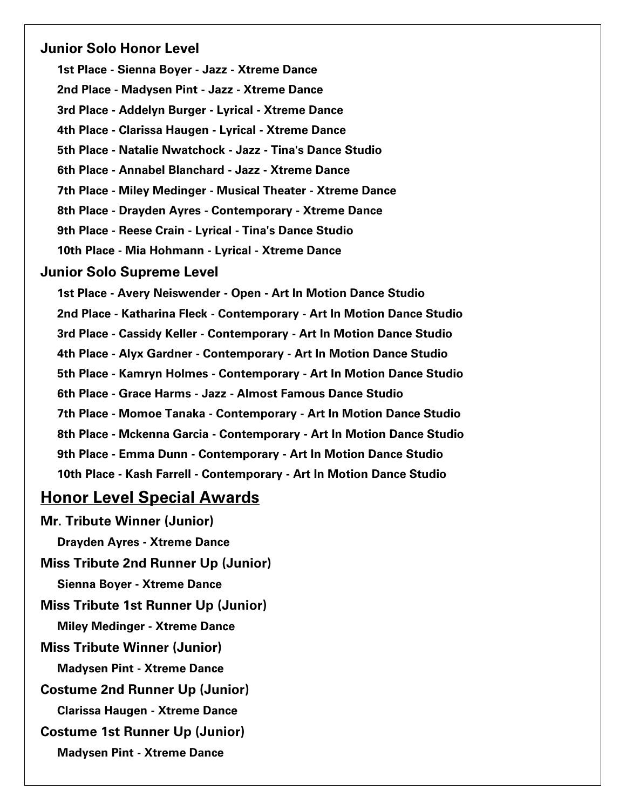### Junior Solo Honor Level

1st Place - Sienna Boyer - Jazz - Xtreme Dance 2nd Place - Madysen Pint - Jazz - Xtreme Dance 3rd Place - Addelyn Burger - Lyrical - Xtreme Dance 4th Place - Clarissa Haugen - Lyrical - Xtreme Dance 5th Place - Natalie Nwatchock - Jazz - Tina's Dance Studio 6th Place - Annabel Blanchard - Jazz - Xtreme Dance 7th Place - Miley Medinger - Musical Theater - Xtreme Dance 8th Place - Drayden Ayres - Contemporary - Xtreme Dance 9th Place - Reese Crain - Lyrical - Tina's Dance Studio 10th Place - Mia Hohmann - Lyrical - Xtreme Dance

#### Junior Solo Supreme Level

1st Place - Avery Neiswender - Open - Art In Motion Dance Studio 2nd Place - Katharina Fleck - Contemporary - Art In Motion Dance Studio 3rd Place - Cassidy Keller - Contemporary - Art In Motion Dance Studio 4th Place - Alyx Gardner - Contemporary - Art In Motion Dance Studio 5th Place - Kamryn Holmes - Contemporary - Art In Motion Dance Studio 6th Place - Grace Harms - Jazz - Almost Famous Dance Studio 7th Place - Momoe Tanaka - Contemporary - Art In Motion Dance Studio 8th Place - Mckenna Garcia - Contemporary - Art In Motion Dance Studio 9th Place - Emma Dunn - Contemporary - Art In Motion Dance Studio 10th Place - Kash Farrell - Contemporary - Art In Motion Dance Studio

# Honor Level Special Awards

Mr. Tribute Winner (Junior) Drayden Ayres - Xtreme Dance Miss Tribute 2nd Runner Up (Junior) Sienna Boyer - Xtreme Dance Miss Tribute 1st Runner Up (Junior) Miley Medinger - Xtreme Dance Miss Tribute Winner (Junior) Madysen Pint - Xtreme Dance Costume 2nd Runner Up (Junior) Clarissa Haugen - Xtreme Dance Costume 1st Runner Up (Junior) Madysen Pint - Xtreme Dance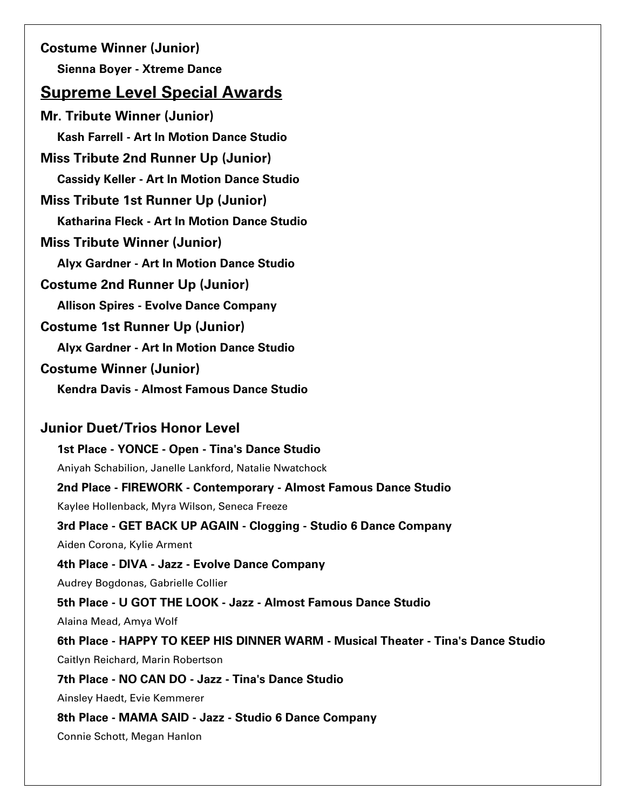Costume Winner (Junior) Sienna Boyer - Xtreme Dance

# Supreme Level Special Awards

Mr. Tribute Winner (Junior) Kash Farrell - Art In Motion Dance Studio Miss Tribute 2nd Runner Up (Junior) Cassidy Keller - Art In Motion Dance Studio Miss Tribute 1st Runner Up (Junior) Katharina Fleck - Art In Motion Dance Studio Miss Tribute Winner (Junior) Alyx Gardner - Art In Motion Dance Studio Costume 2nd Runner Up (Junior) Allison Spires - Evolve Dance Company Costume 1st Runner Up (Junior) Alyx Gardner - Art In Motion Dance Studio Costume Winner (Junior) Kendra Davis - Almost Famous Dance Studio

# Junior Duet/Trios Honor Level

1st Place - YONCE - Open - Tina's Dance Studio Aniyah Schabilion, Janelle Lankford, Natalie Nwatchock 2nd Place - FIREWORK - Contemporary - Almost Famous Dance Studio Kaylee Hollenback, Myra Wilson, Seneca Freeze 3rd Place - GET BACK UP AGAIN - Clogging - Studio 6 Dance Company Aiden Corona, Kylie Arment 4th Place - DIVA - Jazz - Evolve Dance Company Audrey Bogdonas, Gabrielle Collier 5th Place - U GOT THE LOOK - Jazz - Almost Famous Dance Studio Alaina Mead, Amya Wolf 6th Place - HAPPY TO KEEP HIS DINNER WARM - Musical Theater - Tina's Dance Studio Caitlyn Reichard, Marin Robertson 7th Place - NO CAN DO - Jazz - Tina's Dance Studio Ainsley Haedt, Evie Kemmerer 8th Place - MAMA SAID - Jazz - Studio 6 Dance Company Connie Schott, Megan Hanlon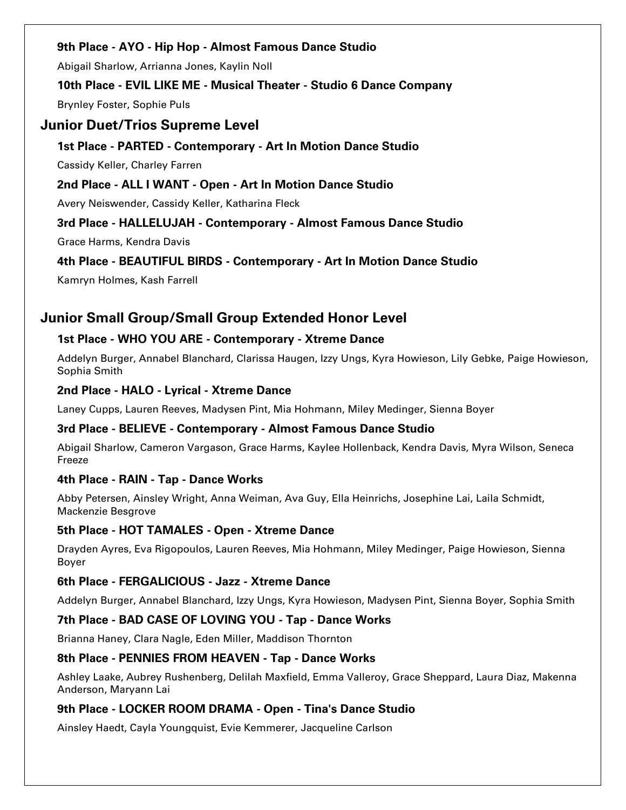### 9th Place - AYO - Hip Hop - Almost Famous Dance Studio

Abigail Sharlow, Arrianna Jones, Kaylin Noll

### 10th Place - EVIL LIKE ME - Musical Theater - Studio 6 Dance Company

Brynley Foster, Sophie Puls

# Junior Duet/Trios Supreme Level

### 1st Place - PARTED - Contemporary - Art In Motion Dance Studio

Cassidy Keller, Charley Farren

### 2nd Place - ALL I WANT - Open - Art In Motion Dance Studio

Avery Neiswender, Cassidy Keller, Katharina Fleck

# 3rd Place - HALLELUJAH - Contemporary - Almost Famous Dance Studio

Grace Harms, Kendra Davis

### 4th Place - BEAUTIFUL BIRDS - Contemporary - Art In Motion Dance Studio

Kamryn Holmes, Kash Farrell

# Junior Small Group/Small Group Extended Honor Level

### 1st Place - WHO YOU ARE - Contemporary - Xtreme Dance

Addelyn Burger, Annabel Blanchard, Clarissa Haugen, Izzy Ungs, Kyra Howieson, Lily Gebke, Paige Howieson, Sophia Smith

### 2nd Place - HALO - Lyrical - Xtreme Dance

Laney Cupps, Lauren Reeves, Madysen Pint, Mia Hohmann, Miley Medinger, Sienna Boyer

# 3rd Place - BELIEVE - Contemporary - Almost Famous Dance Studio

Abigail Sharlow, Cameron Vargason, Grace Harms, Kaylee Hollenback, Kendra Davis, Myra Wilson, Seneca Freeze

# 4th Place - RAIN - Tap - Dance Works

Abby Petersen, Ainsley Wright, Anna Weiman, Ava Guy, Ella Heinrichs, Josephine Lai, Laila Schmidt, Mackenzie Besgrove

### 5th Place - HOT TAMALES - Open - Xtreme Dance

Drayden Ayres, Eva Rigopoulos, Lauren Reeves, Mia Hohmann, Miley Medinger, Paige Howieson, Sienna Boyer

### 6th Place - FERGALICIOUS - Jazz - Xtreme Dance

Addelyn Burger, Annabel Blanchard, Izzy Ungs, Kyra Howieson, Madysen Pint, Sienna Boyer, Sophia Smith

# 7th Place - BAD CASE OF LOVING YOU - Tap - Dance Works

Brianna Haney, Clara Nagle, Eden Miller, Maddison Thornton

### 8th Place - PENNIES FROM HEAVEN - Tap - Dance Works

Ashley Laake, Aubrey Rushenberg, Delilah Maxfield, Emma Valleroy, Grace Sheppard, Laura Diaz, Makenna Anderson, Maryann Lai

# 9th Place - LOCKER ROOM DRAMA - Open - Tina's Dance Studio

Ainsley Haedt, Cayla Youngquist, Evie Kemmerer, Jacqueline Carlson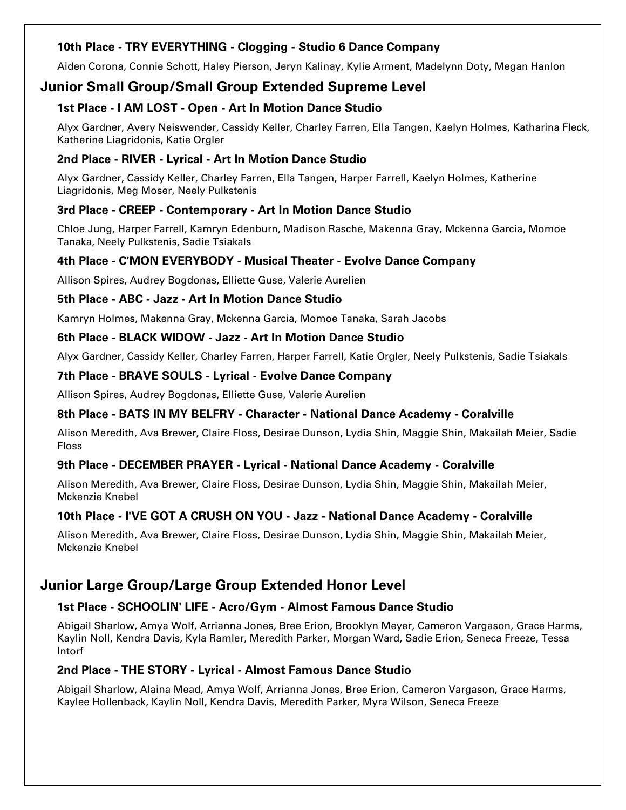### 10th Place - TRY EVERYTHING - Clogging - Studio 6 Dance Company

Aiden Corona, Connie Schott, Haley Pierson, Jeryn Kalinay, Kylie Arment, Madelynn Doty, Megan Hanlon

# Junior Small Group/Small Group Extended Supreme Level

### 1st Place - I AM LOST - Open - Art In Motion Dance Studio

Alyx Gardner, Avery Neiswender, Cassidy Keller, Charley Farren, Ella Tangen, Kaelyn Holmes, Katharina Fleck, Katherine Liagridonis, Katie Orgler

### 2nd Place - RIVER - Lyrical - Art In Motion Dance Studio

Alyx Gardner, Cassidy Keller, Charley Farren, Ella Tangen, Harper Farrell, Kaelyn Holmes, Katherine Liagridonis, Meg Moser, Neely Pulkstenis

### 3rd Place - CREEP - Contemporary - Art In Motion Dance Studio

Chloe Jung, Harper Farrell, Kamryn Edenburn, Madison Rasche, Makenna Gray, Mckenna Garcia, Momoe Tanaka, Neely Pulkstenis, Sadie Tsiakals

### 4th Place - C'MON EVERYBODY - Musical Theater - Evolve Dance Company

Allison Spires, Audrey Bogdonas, Elliette Guse, Valerie Aurelien

### 5th Place - ABC - Jazz - Art In Motion Dance Studio

Kamryn Holmes, Makenna Gray, Mckenna Garcia, Momoe Tanaka, Sarah Jacobs

### 6th Place - BLACK WIDOW - Jazz - Art In Motion Dance Studio

Alyx Gardner, Cassidy Keller, Charley Farren, Harper Farrell, Katie Orgler, Neely Pulkstenis, Sadie Tsiakals

### 7th Place - BRAVE SOULS - Lyrical - Evolve Dance Company

Allison Spires, Audrey Bogdonas, Elliette Guse, Valerie Aurelien

### 8th Place - BATS IN MY BELFRY - Character - National Dance Academy - Coralville

Alison Meredith, Ava Brewer, Claire Floss, Desirae Dunson, Lydia Shin, Maggie Shin, Makailah Meier, Sadie Floss

#### 9th Place - DECEMBER PRAYER - Lyrical - National Dance Academy - Coralville

Alison Meredith, Ava Brewer, Claire Floss, Desirae Dunson, Lydia Shin, Maggie Shin, Makailah Meier, Mckenzie Knebel

### 10th Place - I'VE GOT A CRUSH ON YOU - Jazz - National Dance Academy - Coralville

Alison Meredith, Ava Brewer, Claire Floss, Desirae Dunson, Lydia Shin, Maggie Shin, Makailah Meier, Mckenzie Knebel

# Junior Large Group/Large Group Extended Honor Level

### 1st Place - SCHOOLIN' LIFE - Acro/Gym - Almost Famous Dance Studio

Abigail Sharlow, Amya Wolf, Arrianna Jones, Bree Erion, Brooklyn Meyer, Cameron Vargason, Grace Harms, Kaylin Noll, Kendra Davis, Kyla Ramler, Meredith Parker, Morgan Ward, Sadie Erion, Seneca Freeze, Tessa Intorf

### 2nd Place - THE STORY - Lyrical - Almost Famous Dance Studio

Abigail Sharlow, Alaina Mead, Amya Wolf, Arrianna Jones, Bree Erion, Cameron Vargason, Grace Harms, Kaylee Hollenback, Kaylin Noll, Kendra Davis, Meredith Parker, Myra Wilson, Seneca Freeze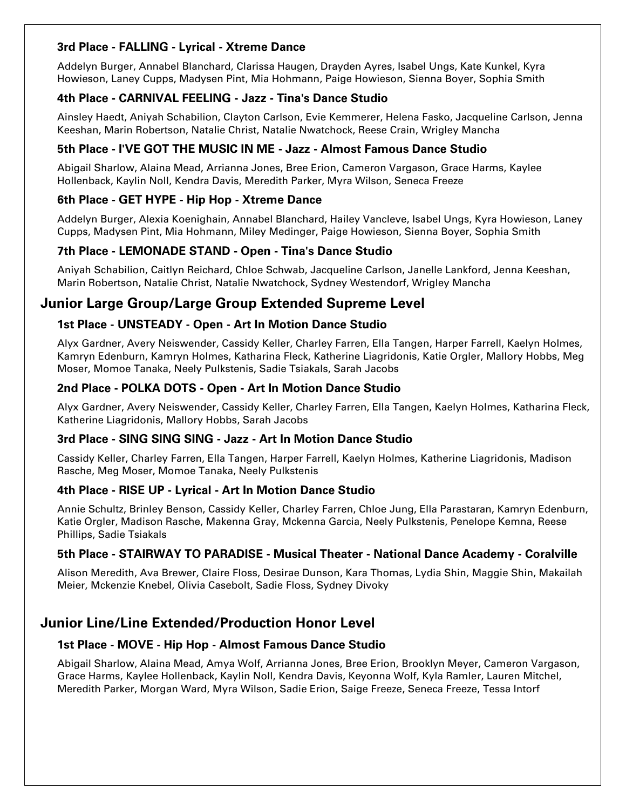### 3rd Place - FALLING - Lyrical - Xtreme Dance

Addelyn Burger, Annabel Blanchard, Clarissa Haugen, Drayden Ayres, Isabel Ungs, Kate Kunkel, Kyra Howieson, Laney Cupps, Madysen Pint, Mia Hohmann, Paige Howieson, Sienna Boyer, Sophia Smith

### 4th Place - CARNIVAL FEELING - Jazz - Tina's Dance Studio

Ainsley Haedt, Aniyah Schabilion, Clayton Carlson, Evie Kemmerer, Helena Fasko, Jacqueline Carlson, Jenna Keeshan, Marin Robertson, Natalie Christ, Natalie Nwatchock, Reese Crain, Wrigley Mancha

### 5th Place - I'VE GOT THE MUSIC IN ME - Jazz - Almost Famous Dance Studio

Abigail Sharlow, Alaina Mead, Arrianna Jones, Bree Erion, Cameron Vargason, Grace Harms, Kaylee Hollenback, Kaylin Noll, Kendra Davis, Meredith Parker, Myra Wilson, Seneca Freeze

### 6th Place - GET HYPE - Hip Hop - Xtreme Dance

Addelyn Burger, Alexia Koenighain, Annabel Blanchard, Hailey Vancleve, Isabel Ungs, Kyra Howieson, Laney Cupps, Madysen Pint, Mia Hohmann, Miley Medinger, Paige Howieson, Sienna Boyer, Sophia Smith

### 7th Place - LEMONADE STAND - Open - Tina's Dance Studio

Aniyah Schabilion, Caitlyn Reichard, Chloe Schwab, Jacqueline Carlson, Janelle Lankford, Jenna Keeshan, Marin Robertson, Natalie Christ, Natalie Nwatchock, Sydney Westendorf, Wrigley Mancha

# Junior Large Group/Large Group Extended Supreme Level

### 1st Place - UNSTEADY - Open - Art In Motion Dance Studio

Alyx Gardner, Avery Neiswender, Cassidy Keller, Charley Farren, Ella Tangen, Harper Farrell, Kaelyn Holmes, Kamryn Edenburn, Kamryn Holmes, Katharina Fleck, Katherine Liagridonis, Katie Orgler, Mallory Hobbs, Meg Moser, Momoe Tanaka, Neely Pulkstenis, Sadie Tsiakals, Sarah Jacobs

### 2nd Place - POLKA DOTS - Open - Art In Motion Dance Studio

Alyx Gardner, Avery Neiswender, Cassidy Keller, Charley Farren, Ella Tangen, Kaelyn Holmes, Katharina Fleck, Katherine Liagridonis, Mallory Hobbs, Sarah Jacobs

#### 3rd Place - SING SING SING - Jazz - Art In Motion Dance Studio

Cassidy Keller, Charley Farren, Ella Tangen, Harper Farrell, Kaelyn Holmes, Katherine Liagridonis, Madison Rasche, Meg Moser, Momoe Tanaka, Neely Pulkstenis

#### 4th Place - RISE UP - Lyrical - Art In Motion Dance Studio

Annie Schultz, Brinley Benson, Cassidy Keller, Charley Farren, Chloe Jung, Ella Parastaran, Kamryn Edenburn, Katie Orgler, Madison Rasche, Makenna Gray, Mckenna Garcia, Neely Pulkstenis, Penelope Kemna, Reese Phillips, Sadie Tsiakals

#### 5th Place - STAIRWAY TO PARADISE - Musical Theater - National Dance Academy - Coralville

Alison Meredith, Ava Brewer, Claire Floss, Desirae Dunson, Kara Thomas, Lydia Shin, Maggie Shin, Makailah Meier, Mckenzie Knebel, Olivia Casebolt, Sadie Floss, Sydney Divoky

# Junior Line/Line Extended/Production Honor Level

### 1st Place - MOVE - Hip Hop - Almost Famous Dance Studio

Abigail Sharlow, Alaina Mead, Amya Wolf, Arrianna Jones, Bree Erion, Brooklyn Meyer, Cameron Vargason, Grace Harms, Kaylee Hollenback, Kaylin Noll, Kendra Davis, Keyonna Wolf, Kyla Ramler, Lauren Mitchel, Meredith Parker, Morgan Ward, Myra Wilson, Sadie Erion, Saige Freeze, Seneca Freeze, Tessa Intorf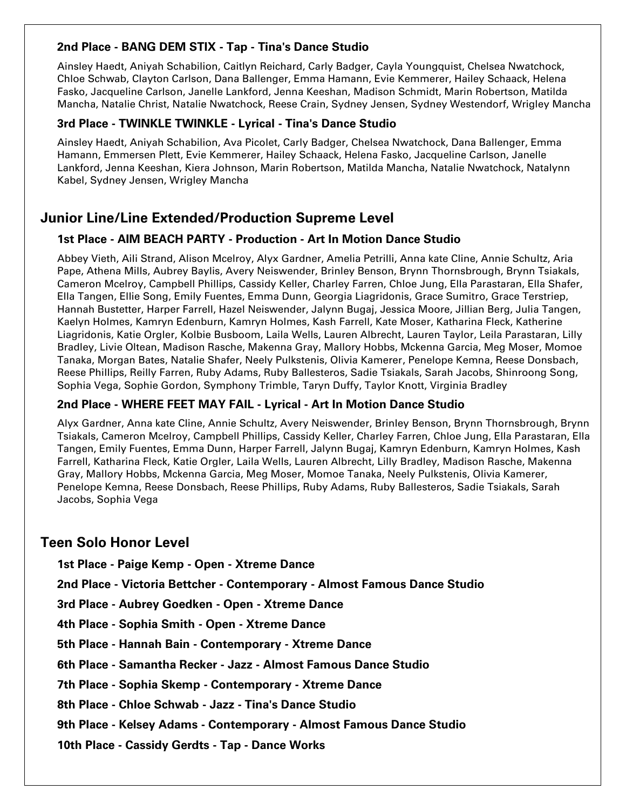### 2nd Place - BANG DEM STIX - Tap - Tina's Dance Studio

Ainsley Haedt, Aniyah Schabilion, Caitlyn Reichard, Carly Badger, Cayla Youngquist, Chelsea Nwatchock, Chloe Schwab, Clayton Carlson, Dana Ballenger, Emma Hamann, Evie Kemmerer, Hailey Schaack, Helena Fasko, Jacqueline Carlson, Janelle Lankford, Jenna Keeshan, Madison Schmidt, Marin Robertson, Matilda Mancha, Natalie Christ, Natalie Nwatchock, Reese Crain, Sydney Jensen, Sydney Westendorf, Wrigley Mancha

#### 3rd Place - TWINKLE TWINKLE - Lyrical - Tina's Dance Studio

Ainsley Haedt, Aniyah Schabilion, Ava Picolet, Carly Badger, Chelsea Nwatchock, Dana Ballenger, Emma Hamann, Emmersen Plett, Evie Kemmerer, Hailey Schaack, Helena Fasko, Jacqueline Carlson, Janelle Lankford, Jenna Keeshan, Kiera Johnson, Marin Robertson, Matilda Mancha, Natalie Nwatchock, Natalynn Kabel, Sydney Jensen, Wrigley Mancha

# Junior Line/Line Extended/Production Supreme Level

#### 1st Place - AIM BEACH PARTY - Production - Art In Motion Dance Studio

Abbey Vieth, Aili Strand, Alison Mcelroy, Alyx Gardner, Amelia Petrilli, Anna kate Cline, Annie Schultz, Aria Pape, Athena Mills, Aubrey Baylis, Avery Neiswender, Brinley Benson, Brynn Thornsbrough, Brynn Tsiakals, Cameron Mcelroy, Campbell Phillips, Cassidy Keller, Charley Farren, Chloe Jung, Ella Parastaran, Ella Shafer, Ella Tangen, Ellie Song, Emily Fuentes, Emma Dunn, Georgia Liagridonis, Grace Sumitro, Grace Terstriep, Hannah Bustetter, Harper Farrell, Hazel Neiswender, Jalynn Bugaj, Jessica Moore, Jillian Berg, Julia Tangen, Kaelyn Holmes, Kamryn Edenburn, Kamryn Holmes, Kash Farrell, Kate Moser, Katharina Fleck, Katherine Liagridonis, Katie Orgler, Kolbie Busboom, Laila Wells, Lauren Albrecht, Lauren Taylor, Leila Parastaran, Lilly Bradley, Livie Oltean, Madison Rasche, Makenna Gray, Mallory Hobbs, Mckenna Garcia, Meg Moser, Momoe Tanaka, Morgan Bates, Natalie Shafer, Neely Pulkstenis, Olivia Kamerer, Penelope Kemna, Reese Donsbach, Reese Phillips, Reilly Farren, Ruby Adams, Ruby Ballesteros, Sadie Tsiakals, Sarah Jacobs, Shinroong Song, Sophia Vega, Sophie Gordon, Symphony Trimble, Taryn Duffy, Taylor Knott, Virginia Bradley

#### 2nd Place - WHERE FEET MAY FAIL - Lyrical - Art In Motion Dance Studio

Alyx Gardner, Anna kate Cline, Annie Schultz, Avery Neiswender, Brinley Benson, Brynn Thornsbrough, Brynn Tsiakals, Cameron Mcelroy, Campbell Phillips, Cassidy Keller, Charley Farren, Chloe Jung, Ella Parastaran, Ella Tangen, Emily Fuentes, Emma Dunn, Harper Farrell, Jalynn Bugaj, Kamryn Edenburn, Kamryn Holmes, Kash Farrell, Katharina Fleck, Katie Orgler, Laila Wells, Lauren Albrecht, Lilly Bradley, Madison Rasche, Makenna Gray, Mallory Hobbs, Mckenna Garcia, Meg Moser, Momoe Tanaka, Neely Pulkstenis, Olivia Kamerer, Penelope Kemna, Reese Donsbach, Reese Phillips, Ruby Adams, Ruby Ballesteros, Sadie Tsiakals, Sarah Jacobs, Sophia Vega

# Teen Solo Honor Level

1st Place - Paige Kemp - Open - Xtreme Dance

2nd Place - Victoria Bettcher - Contemporary - Almost Famous Dance Studio

3rd Place - Aubrey Goedken - Open - Xtreme Dance

4th Place - Sophia Smith - Open - Xtreme Dance

5th Place - Hannah Bain - Contemporary - Xtreme Dance

6th Place - Samantha Recker - Jazz - Almost Famous Dance Studio

7th Place - Sophia Skemp - Contemporary - Xtreme Dance

8th Place - Chloe Schwab - Jazz - Tina's Dance Studio

9th Place - Kelsey Adams - Contemporary - Almost Famous Dance Studio

10th Place - Cassidy Gerdts - Tap - Dance Works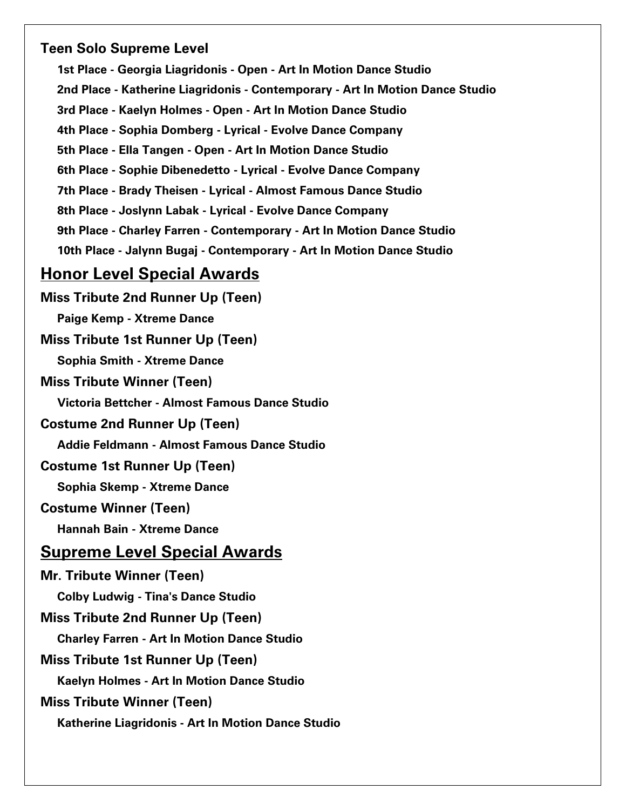# Teen Solo Supreme Level

1st Place - Georgia Liagridonis - Open - Art In Motion Dance Studio 2nd Place - Katherine Liagridonis - Contemporary - Art In Motion Dance Studio 3rd Place - Kaelyn Holmes - Open - Art In Motion Dance Studio 4th Place - Sophia Domberg - Lyrical - Evolve Dance Company 5th Place - Ella Tangen - Open - Art In Motion Dance Studio 6th Place - Sophie Dibenedetto - Lyrical - Evolve Dance Company 7th Place - Brady Theisen - Lyrical - Almost Famous Dance Studio 8th Place - Joslynn Labak - Lyrical - Evolve Dance Company 9th Place - Charley Farren - Contemporary - Art In Motion Dance Studio 10th Place - Jalynn Bugaj - Contemporary - Art In Motion Dance Studio Honor Level Special Awards Miss Tribute 2nd Runner Up (Teen) Paige Kemp - Xtreme Dance Miss Tribute 1st Runner Up (Teen) Sophia Smith - Xtreme Dance Miss Tribute Winner (Teen) Victoria Bettcher - Almost Famous Dance Studio Costume 2nd Runner Up (Teen) Addie Feldmann - Almost Famous Dance Studio Costume 1st Runner Up (Teen) Sophia Skemp - Xtreme Dance Costume Winner (Teen) Hannah Bain - Xtreme Dance Supreme Level Special Awards Mr. Tribute Winner (Teen)

Colby Ludwig - Tina's Dance Studio Miss Tribute 2nd Runner Up (Teen) Charley Farren - Art In Motion Dance Studio Miss Tribute 1st Runner Up (Teen) Kaelyn Holmes - Art In Motion Dance Studio Miss Tribute Winner (Teen) Katherine Liagridonis - Art In Motion Dance Studio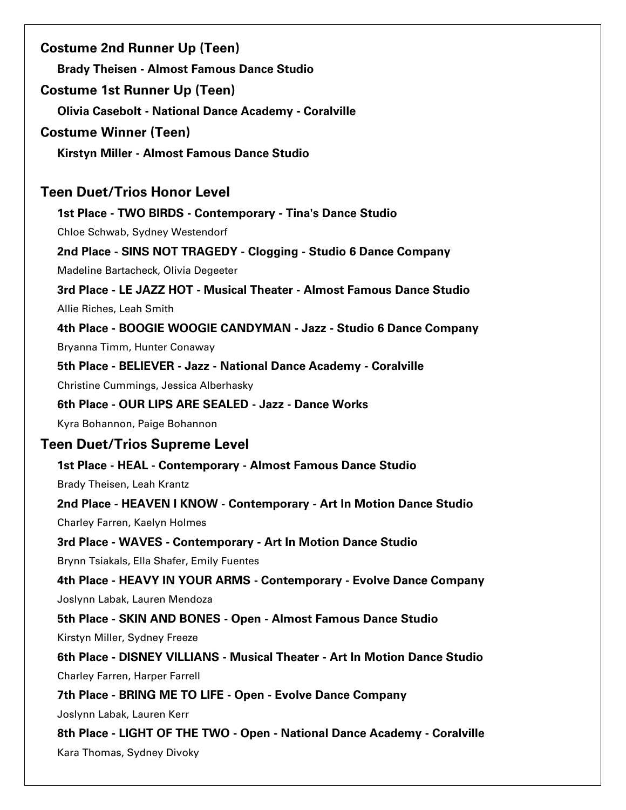Costume 2nd Runner Up (Teen) Brady Theisen - Almost Famous Dance Studio Costume 1st Runner Up (Teen) Olivia Casebolt - National Dance Academy - Coralville Costume Winner (Teen) Kirstyn Miller - Almost Famous Dance Studio Teen Duet/Trios Honor Level 1st Place - TWO BIRDS - Contemporary - Tina's Dance Studio Chloe Schwab, Sydney Westendorf 2nd Place - SINS NOT TRAGEDY - Clogging - Studio 6 Dance Company Madeline Bartacheck, Olivia Degeeter 3rd Place - LE JAZZ HOT - Musical Theater - Almost Famous Dance Studio Allie Riches, Leah Smith 4th Place - BOOGIE WOOGIE CANDYMAN - Jazz - Studio 6 Dance Company Bryanna Timm, Hunter Conaway 5th Place - BELIEVER - Jazz - National Dance Academy - Coralville Christine Cummings, Jessica Alberhasky 6th Place - OUR LIPS ARE SEALED - Jazz - Dance Works Kyra Bohannon, Paige Bohannon Teen Duet/Trios Supreme Level 1st Place - HEAL - Contemporary - Almost Famous Dance Studio Brady Theisen, Leah Krantz 2nd Place - HEAVEN I KNOW - Contemporary - Art In Motion Dance Studio Charley Farren, Kaelyn Holmes 3rd Place - WAVES - Contemporary - Art In Motion Dance Studio Brynn Tsiakals, Ella Shafer, Emily Fuentes 4th Place - HEAVY IN YOUR ARMS - Contemporary - Evolve Dance Company Joslynn Labak, Lauren Mendoza 5th Place - SKIN AND BONES - Open - Almost Famous Dance Studio Kirstyn Miller, Sydney Freeze 6th Place - DISNEY VILLIANS - Musical Theater - Art In Motion Dance Studio Charley Farren, Harper Farrell 7th Place - BRING ME TO LIFE - Open - Evolve Dance Company Joslynn Labak, Lauren Kerr 8th Place - LIGHT OF THE TWO - Open - National Dance Academy - Coralville Kara Thomas, Sydney Divoky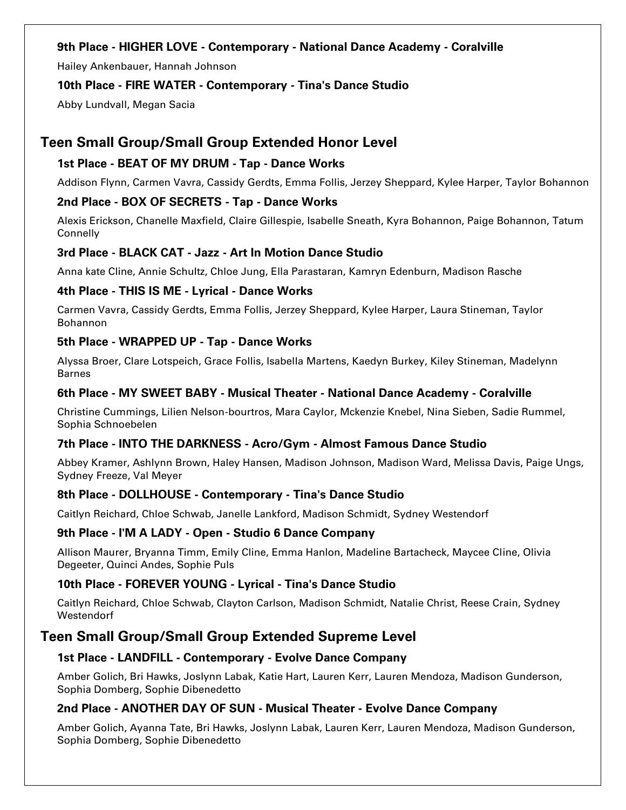### 9th Place - HIGHER LOVE - Contemporary - National Dance Academy - Coralville

Hailey Ankenbauer, Hannah Johnson

#### 10th Place - FIRE WATER - Contemporary - Tina's Dance Studio

Abby Lundvall, Megan Sacia

# Teen Small Group/Small Group Extended Honor Level

### 1st Place - BEAT OF MY DRUM - Tap - Dance Works

Addison Flynn, Carmen Vavra, Cassidy Gerdts, Emma Follis, Jerzey Sheppard, Kylee Harper, Taylor Bohannon

### 2nd Place - BOX OF SECRETS - Tap - Dance Works

Alexis Erickson, Chanelle Maxfield, Claire Gillespie, Isabelle Sneath, Kyra Bohannon, Paige Bohannon, Tatum **Connelly** 

### 3rd Place - BLACK CAT - Jazz - Art In Motion Dance Studio

Anna kate Cline, Annie Schultz, Chloe Jung, Ella Parastaran, Kamryn Edenburn, Madison Rasche

### 4th Place - THIS IS ME - Lyrical - Dance Works

Carmen Vavra, Cassidy Gerdts, Emma Follis, Jerzey Sheppard, Kylee Harper, Laura Stineman, Taylor Bohannon

### 5th Place - WRAPPED UP - Tap - Dance Works

Alyssa Broer, Clare Lotspeich, Grace Follis, Isabella Martens, Kaedyn Burkey, Kiley Stineman, Madelynn Barnes

### 6th Place - MY SWEET BABY - Musical Theater - National Dance Academy - Coralville

Christine Cummings, Lilien Nelson-bourtros, Mara Caylor, Mckenzie Knebel, Nina Sieben, Sadie Rummel, Sophia Schnoebelen

#### 7th Place - INTO THE DARKNESS - Acro/Gym - Almost Famous Dance Studio

Abbey Kramer, Ashlynn Brown, Haley Hansen, Madison Johnson, Madison Ward, Melissa Davis, Paige Ungs, Sydney Freeze, Val Meyer

### 8th Place - DOLLHOUSE - Contemporary - Tina's Dance Studio

Caitlyn Reichard, Chloe Schwab, Janelle Lankford, Madison Schmidt, Sydney Westendorf

#### 9th Place - I'M A LADY - Open - Studio 6 Dance Company

Allison Maurer, Bryanna Timm, Emily Cline, Emma Hanlon, Madeline Bartacheck, Maycee Cline, Olivia Degeeter, Quinci Andes, Sophie Puls

### 10th Place - FOREVER YOUNG - Lyrical - Tina's Dance Studio

Caitlyn Reichard, Chloe Schwab, Clayton Carlson, Madison Schmidt, Natalie Christ, Reese Crain, Sydney **Westendorf** 

# Teen Small Group/Small Group Extended Supreme Level

#### 1st Place - LANDFILL - Contemporary - Evolve Dance Company

Amber Golich, Bri Hawks, Joslynn Labak, Katie Hart, Lauren Kerr, Lauren Mendoza, Madison Gunderson, Sophia Domberg, Sophie Dibenedetto

### 2nd Place - ANOTHER DAY OF SUN - Musical Theater - Evolve Dance Company

Amber Golich, Ayanna Tate, Bri Hawks, Joslynn Labak, Lauren Kerr, Lauren Mendoza, Madison Gunderson, Sophia Domberg, Sophie Dibenedetto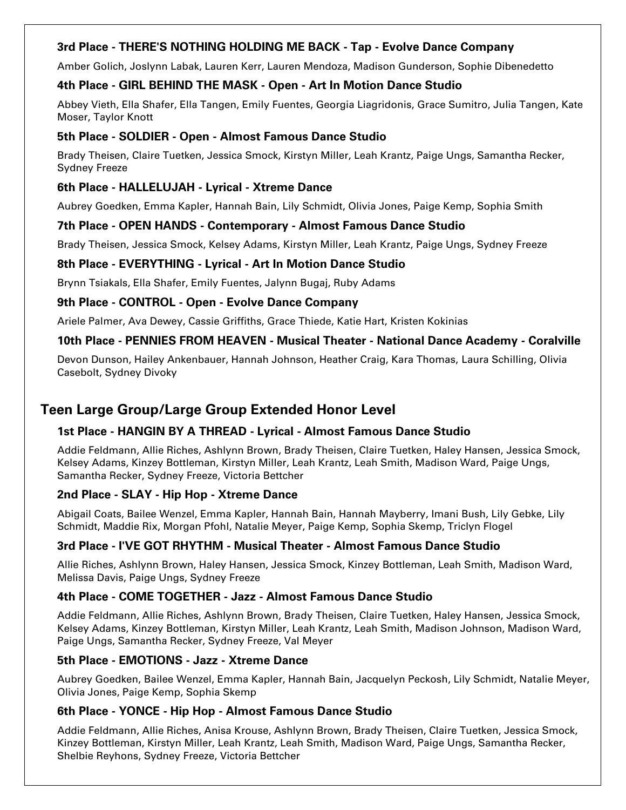### 3rd Place - THERE'S NOTHING HOLDING ME BACK - Tap - Evolve Dance Company

Amber Golich, Joslynn Labak, Lauren Kerr, Lauren Mendoza, Madison Gunderson, Sophie Dibenedetto

### 4th Place - GIRL BEHIND THE MASK - Open - Art In Motion Dance Studio

Abbey Vieth, Ella Shafer, Ella Tangen, Emily Fuentes, Georgia Liagridonis, Grace Sumitro, Julia Tangen, Kate Moser, Taylor Knott

### 5th Place - SOLDIER - Open - Almost Famous Dance Studio

Brady Theisen, Claire Tuetken, Jessica Smock, Kirstyn Miller, Leah Krantz, Paige Ungs, Samantha Recker, Sydney Freeze

### 6th Place - HALLELUJAH - Lyrical - Xtreme Dance

Aubrey Goedken, Emma Kapler, Hannah Bain, Lily Schmidt, Olivia Jones, Paige Kemp, Sophia Smith

### 7th Place - OPEN HANDS - Contemporary - Almost Famous Dance Studio

Brady Theisen, Jessica Smock, Kelsey Adams, Kirstyn Miller, Leah Krantz, Paige Ungs, Sydney Freeze

### 8th Place - EVERYTHING - Lyrical - Art In Motion Dance Studio

Brynn Tsiakals, Ella Shafer, Emily Fuentes, Jalynn Bugaj, Ruby Adams

### 9th Place - CONTROL - Open - Evolve Dance Company

Ariele Palmer, Ava Dewey, Cassie Griffiths, Grace Thiede, Katie Hart, Kristen Kokinias

### 10th Place - PENNIES FROM HEAVEN - Musical Theater - National Dance Academy - Coralville

Devon Dunson, Hailey Ankenbauer, Hannah Johnson, Heather Craig, Kara Thomas, Laura Schilling, Olivia Casebolt, Sydney Divoky

# Teen Large Group/Large Group Extended Honor Level

### 1st Place - HANGIN BY A THREAD - Lyrical - Almost Famous Dance Studio

Addie Feldmann, Allie Riches, Ashlynn Brown, Brady Theisen, Claire Tuetken, Haley Hansen, Jessica Smock, Kelsey Adams, Kinzey Bottleman, Kirstyn Miller, Leah Krantz, Leah Smith, Madison Ward, Paige Ungs, Samantha Recker, Sydney Freeze, Victoria Bettcher

### 2nd Place - SLAY - Hip Hop - Xtreme Dance

Abigail Coats, Bailee Wenzel, Emma Kapler, Hannah Bain, Hannah Mayberry, Imani Bush, Lily Gebke, Lily Schmidt, Maddie Rix, Morgan Pfohl, Natalie Meyer, Paige Kemp, Sophia Skemp, Triclyn Flogel

### 3rd Place - I'VE GOT RHYTHM - Musical Theater - Almost Famous Dance Studio

Allie Riches, Ashlynn Brown, Haley Hansen, Jessica Smock, Kinzey Bottleman, Leah Smith, Madison Ward, Melissa Davis, Paige Ungs, Sydney Freeze

### 4th Place - COME TOGETHER - Jazz - Almost Famous Dance Studio

Addie Feldmann, Allie Riches, Ashlynn Brown, Brady Theisen, Claire Tuetken, Haley Hansen, Jessica Smock, Kelsey Adams, Kinzey Bottleman, Kirstyn Miller, Leah Krantz, Leah Smith, Madison Johnson, Madison Ward, Paige Ungs, Samantha Recker, Sydney Freeze, Val Meyer

### 5th Place - EMOTIONS - Jazz - Xtreme Dance

Aubrey Goedken, Bailee Wenzel, Emma Kapler, Hannah Bain, Jacquelyn Peckosh, Lily Schmidt, Natalie Meyer, Olivia Jones, Paige Kemp, Sophia Skemp

### 6th Place - YONCE - Hip Hop - Almost Famous Dance Studio

Addie Feldmann, Allie Riches, Anisa Krouse, Ashlynn Brown, Brady Theisen, Claire Tuetken, Jessica Smock, Kinzey Bottleman, Kirstyn Miller, Leah Krantz, Leah Smith, Madison Ward, Paige Ungs, Samantha Recker, Shelbie Reyhons, Sydney Freeze, Victoria Bettcher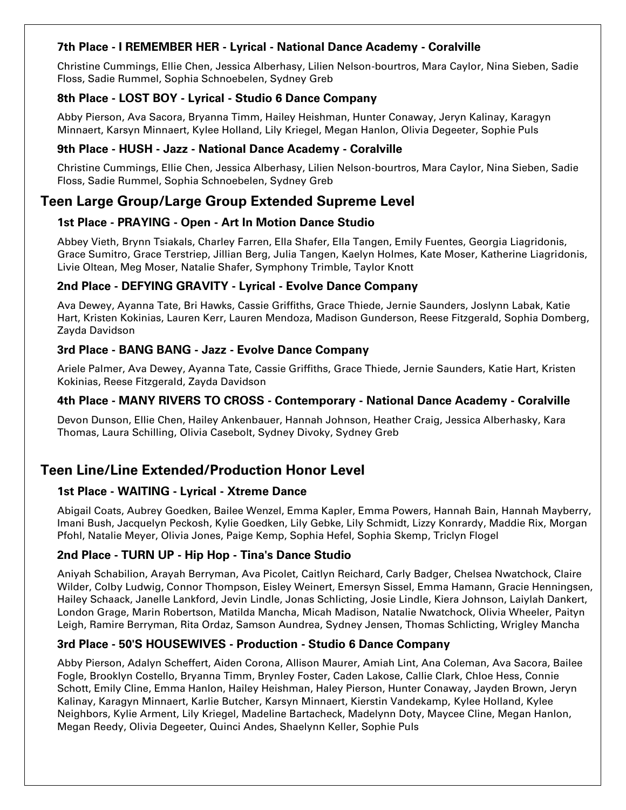### 7th Place - I REMEMBER HER - Lyrical - National Dance Academy - Coralville

Christine Cummings, Ellie Chen, Jessica Alberhasy, Lilien Nelson-bourtros, Mara Caylor, Nina Sieben, Sadie Floss, Sadie Rummel, Sophia Schnoebelen, Sydney Greb

### 8th Place - LOST BOY - Lyrical - Studio 6 Dance Company

Abby Pierson, Ava Sacora, Bryanna Timm, Hailey Heishman, Hunter Conaway, Jeryn Kalinay, Karagyn Minnaert, Karsyn Minnaert, Kylee Holland, Lily Kriegel, Megan Hanlon, Olivia Degeeter, Sophie Puls

### 9th Place - HUSH - Jazz - National Dance Academy - Coralville

Christine Cummings, Ellie Chen, Jessica Alberhasy, Lilien Nelson-bourtros, Mara Caylor, Nina Sieben, Sadie Floss, Sadie Rummel, Sophia Schnoebelen, Sydney Greb

# Teen Large Group/Large Group Extended Supreme Level

### 1st Place - PRAYING - Open - Art In Motion Dance Studio

Abbey Vieth, Brynn Tsiakals, Charley Farren, Ella Shafer, Ella Tangen, Emily Fuentes, Georgia Liagridonis, Grace Sumitro, Grace Terstriep, Jillian Berg, Julia Tangen, Kaelyn Holmes, Kate Moser, Katherine Liagridonis, Livie Oltean, Meg Moser, Natalie Shafer, Symphony Trimble, Taylor Knott

### 2nd Place - DEFYING GRAVITY - Lyrical - Evolve Dance Company

Ava Dewey, Ayanna Tate, Bri Hawks, Cassie Griffiths, Grace Thiede, Jernie Saunders, Joslynn Labak, Katie Hart, Kristen Kokinias, Lauren Kerr, Lauren Mendoza, Madison Gunderson, Reese Fitzgerald, Sophia Domberg, Zayda Davidson

### 3rd Place - BANG BANG - Jazz - Evolve Dance Company

Ariele Palmer, Ava Dewey, Ayanna Tate, Cassie Griffiths, Grace Thiede, Jernie Saunders, Katie Hart, Kristen Kokinias, Reese Fitzgerald, Zayda Davidson

### 4th Place - MANY RIVERS TO CROSS - Contemporary - National Dance Academy - Coralville

Devon Dunson, Ellie Chen, Hailey Ankenbauer, Hannah Johnson, Heather Craig, Jessica Alberhasky, Kara Thomas, Laura Schilling, Olivia Casebolt, Sydney Divoky, Sydney Greb

# Teen Line/Line Extended/Production Honor Level

### 1st Place - WAITING - Lyrical - Xtreme Dance

Abigail Coats, Aubrey Goedken, Bailee Wenzel, Emma Kapler, Emma Powers, Hannah Bain, Hannah Mayberry, Imani Bush, Jacquelyn Peckosh, Kylie Goedken, Lily Gebke, Lily Schmidt, Lizzy Konrardy, Maddie Rix, Morgan Pfohl, Natalie Meyer, Olivia Jones, Paige Kemp, Sophia Hefel, Sophia Skemp, Triclyn Flogel

### 2nd Place - TURN UP - Hip Hop - Tina's Dance Studio

Aniyah Schabilion, Arayah Berryman, Ava Picolet, Caitlyn Reichard, Carly Badger, Chelsea Nwatchock, Claire Wilder, Colby Ludwig, Connor Thompson, Eisley Weinert, Emersyn Sissel, Emma Hamann, Gracie Henningsen, Hailey Schaack, Janelle Lankford, Jevin Lindle, Jonas Schlicting, Josie Lindle, Kiera Johnson, Laiylah Dankert, London Grage, Marin Robertson, Matilda Mancha, Micah Madison, Natalie Nwatchock, Olivia Wheeler, Paityn Leigh, Ramire Berryman, Rita Ordaz, Samson Aundrea, Sydney Jensen, Thomas Schlicting, Wrigley Mancha

### 3rd Place - 50'S HOUSEWIVES - Production - Studio 6 Dance Company

Abby Pierson, Adalyn Scheffert, Aiden Corona, Allison Maurer, Amiah Lint, Ana Coleman, Ava Sacora, Bailee Fogle, Brooklyn Costello, Bryanna Timm, Brynley Foster, Caden Lakose, Callie Clark, Chloe Hess, Connie Schott, Emily Cline, Emma Hanlon, Hailey Heishman, Haley Pierson, Hunter Conaway, Jayden Brown, Jeryn Kalinay, Karagyn Minnaert, Karlie Butcher, Karsyn Minnaert, Kierstin Vandekamp, Kylee Holland, Kylee Neighbors, Kylie Arment, Lily Kriegel, Madeline Bartacheck, Madelynn Doty, Maycee Cline, Megan Hanlon, Megan Reedy, Olivia Degeeter, Quinci Andes, Shaelynn Keller, Sophie Puls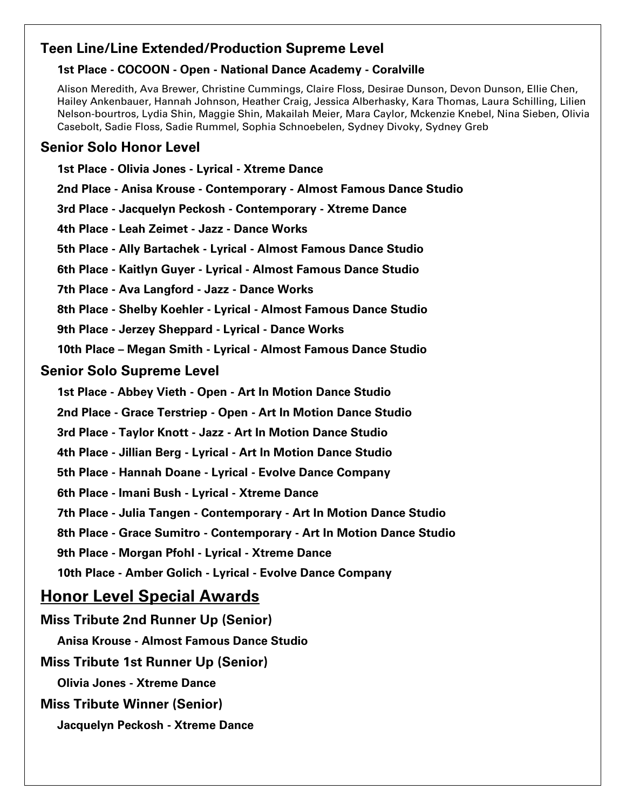# Teen Line/Line Extended/Production Supreme Level

### 1st Place - COCOON - Open - National Dance Academy - Coralville

Alison Meredith, Ava Brewer, Christine Cummings, Claire Floss, Desirae Dunson, Devon Dunson, Ellie Chen, Hailey Ankenbauer, Hannah Johnson, Heather Craig, Jessica Alberhasky, Kara Thomas, Laura Schilling, Lilien Nelson-bourtros, Lydia Shin, Maggie Shin, Makailah Meier, Mara Caylor, Mckenzie Knebel, Nina Sieben, Olivia Casebolt, Sadie Floss, Sadie Rummel, Sophia Schnoebelen, Sydney Divoky, Sydney Greb

# Senior Solo Honor Level

1st Place - Olivia Jones - Lyrical - Xtreme Dance 2nd Place - Anisa Krouse - Contemporary - Almost Famous Dance Studio 3rd Place - Jacquelyn Peckosh - Contemporary - Xtreme Dance 4th Place - Leah Zeimet - Jazz - Dance Works 5th Place - Ally Bartachek - Lyrical - Almost Famous Dance Studio 6th Place - Kaitlyn Guyer - Lyrical - Almost Famous Dance Studio 7th Place - Ava Langford - Jazz - Dance Works 8th Place - Shelby Koehler - Lyrical - Almost Famous Dance Studio 9th Place - Jerzey Sheppard - Lyrical - Dance Works 10th Place – Megan Smith - Lyrical - Almost Famous Dance Studio Senior Solo Supreme Level 1st Place - Abbey Vieth - Open - Art In Motion Dance Studio 2nd Place - Grace Terstriep - Open - Art In Motion Dance Studio 3rd Place - Taylor Knott - Jazz - Art In Motion Dance Studio 4th Place - Jillian Berg - Lyrical - Art In Motion Dance Studio 5th Place - Hannah Doane - Lyrical - Evolve Dance Company 6th Place - Imani Bush - Lyrical - Xtreme Dance 7th Place - Julia Tangen - Contemporary - Art In Motion Dance Studio 8th Place - Grace Sumitro - Contemporary - Art In Motion Dance Studio 9th Place - Morgan Pfohl - Lyrical - Xtreme Dance 10th Place - Amber Golich - Lyrical - Evolve Dance Company Honor Level Special Awards Miss Tribute 2nd Runner Up (Senior) Anisa Krouse - Almost Famous Dance Studio Miss Tribute 1st Runner Up (Senior) Olivia Jones - Xtreme Dance Miss Tribute Winner (Senior) Jacquelyn Peckosh - Xtreme Dance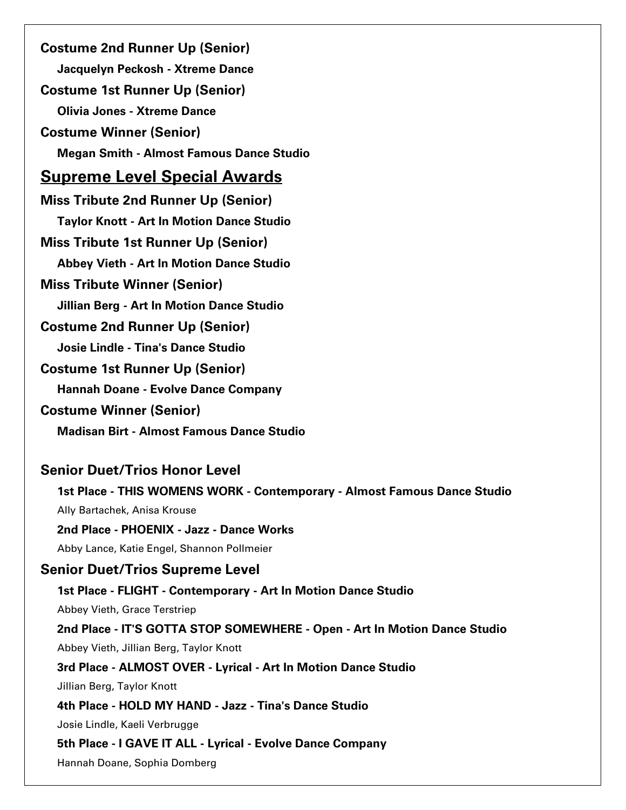Costume 2nd Runner Up (Senior) Jacquelyn Peckosh - Xtreme Dance Costume 1st Runner Up (Senior) Olivia Jones - Xtreme Dance Costume Winner (Senior) Megan Smith - Almost Famous Dance Studio Supreme Level Special Awards Miss Tribute 2nd Runner Up (Senior) Taylor Knott - Art In Motion Dance Studio Miss Tribute 1st Runner Up (Senior) Abbey Vieth - Art In Motion Dance Studio Miss Tribute Winner (Senior) Jillian Berg - Art In Motion Dance Studio Costume 2nd Runner Up (Senior) Josie Lindle - Tina's Dance Studio Costume 1st Runner Up (Senior) Hannah Doane - Evolve Dance Company Costume Winner (Senior) Madisan Birt - Almost Famous Dance Studio Senior Duet/Trios Honor Level 1st Place - THIS WOMENS WORK - Contemporary - Almost Famous Dance Studio Ally Bartachek, Anisa Krouse 2nd Place - PHOENIX - Jazz - Dance Works Abby Lance, Katie Engel, Shannon Pollmeier Senior Duet/Trios Supreme Level 1st Place - FLIGHT - Contemporary - Art In Motion Dance Studio Abbey Vieth, Grace Terstriep 2nd Place - IT'S GOTTA STOP SOMEWHERE - Open - Art In Motion Dance Studio Abbey Vieth, Jillian Berg, Taylor Knott 3rd Place - ALMOST OVER - Lyrical - Art In Motion Dance Studio Jillian Berg, Taylor Knott 4th Place - HOLD MY HAND - Jazz - Tina's Dance Studio Josie Lindle, Kaeli Verbrugge 5th Place - I GAVE IT ALL - Lyrical - Evolve Dance Company Hannah Doane, Sophia Domberg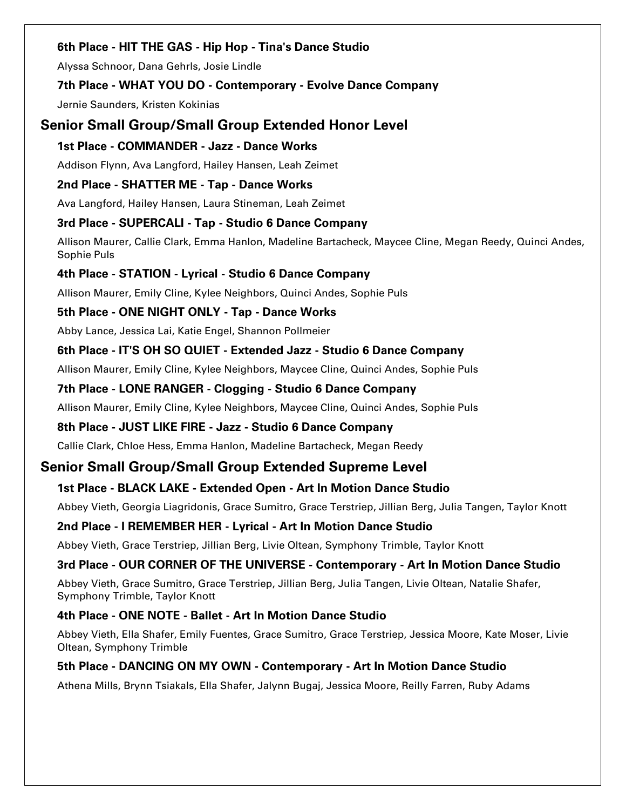### 6th Place - HIT THE GAS - Hip Hop - Tina's Dance Studio

Alyssa Schnoor, Dana Gehrls, Josie Lindle

### 7th Place - WHAT YOU DO - Contemporary - Evolve Dance Company

Jernie Saunders, Kristen Kokinias

# Senior Small Group/Small Group Extended Honor Level

### 1st Place - COMMANDER - Jazz - Dance Works

Addison Flynn, Ava Langford, Hailey Hansen, Leah Zeimet

### 2nd Place - SHATTER ME - Tap - Dance Works

Ava Langford, Hailey Hansen, Laura Stineman, Leah Zeimet

### 3rd Place - SUPERCALI - Tap - Studio 6 Dance Company

Allison Maurer, Callie Clark, Emma Hanlon, Madeline Bartacheck, Maycee Cline, Megan Reedy, Quinci Andes, Sophie Puls

### 4th Place - STATION - Lyrical - Studio 6 Dance Company

Allison Maurer, Emily Cline, Kylee Neighbors, Quinci Andes, Sophie Puls

### 5th Place - ONE NIGHT ONLY - Tap - Dance Works

Abby Lance, Jessica Lai, Katie Engel, Shannon Pollmeier

### 6th Place - IT'S OH SO QUIET - Extended Jazz - Studio 6 Dance Company

Allison Maurer, Emily Cline, Kylee Neighbors, Maycee Cline, Quinci Andes, Sophie Puls

### 7th Place - LONE RANGER - Clogging - Studio 6 Dance Company

Allison Maurer, Emily Cline, Kylee Neighbors, Maycee Cline, Quinci Andes, Sophie Puls

### 8th Place - JUST LIKE FIRE - Jazz - Studio 6 Dance Company

Callie Clark, Chloe Hess, Emma Hanlon, Madeline Bartacheck, Megan Reedy

# Senior Small Group/Small Group Extended Supreme Level

# 1st Place - BLACK LAKE - Extended Open - Art In Motion Dance Studio

Abbey Vieth, Georgia Liagridonis, Grace Sumitro, Grace Terstriep, Jillian Berg, Julia Tangen, Taylor Knott

### 2nd Place - I REMEMBER HER - Lyrical - Art In Motion Dance Studio

Abbey Vieth, Grace Terstriep, Jillian Berg, Livie Oltean, Symphony Trimble, Taylor Knott

# 3rd Place - OUR CORNER OF THE UNIVERSE - Contemporary - Art In Motion Dance Studio

Abbey Vieth, Grace Sumitro, Grace Terstriep, Jillian Berg, Julia Tangen, Livie Oltean, Natalie Shafer, Symphony Trimble, Taylor Knott

# 4th Place - ONE NOTE - Ballet - Art In Motion Dance Studio

Abbey Vieth, Ella Shafer, Emily Fuentes, Grace Sumitro, Grace Terstriep, Jessica Moore, Kate Moser, Livie Oltean, Symphony Trimble

# 5th Place - DANCING ON MY OWN - Contemporary - Art In Motion Dance Studio

Athena Mills, Brynn Tsiakals, Ella Shafer, Jalynn Bugaj, Jessica Moore, Reilly Farren, Ruby Adams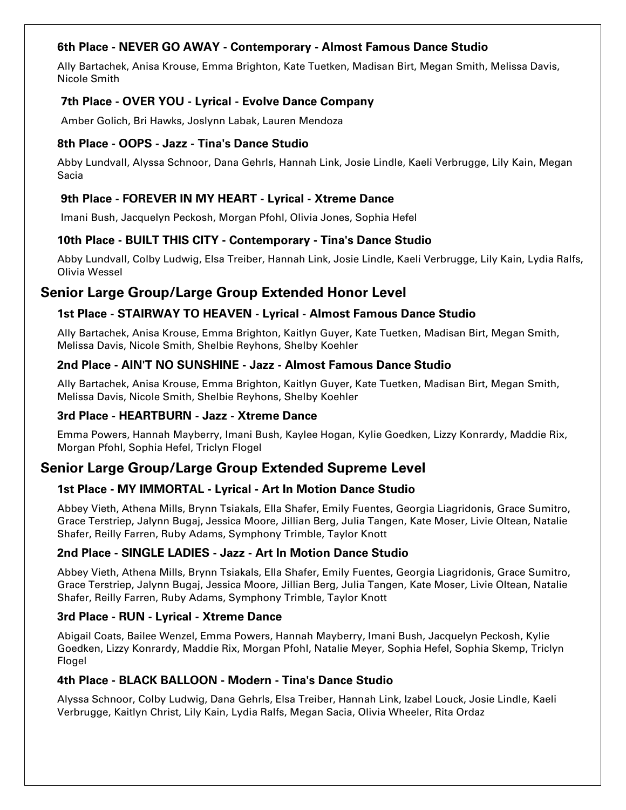### 6th Place - NEVER GO AWAY - Contemporary - Almost Famous Dance Studio

Ally Bartachek, Anisa Krouse, Emma Brighton, Kate Tuetken, Madisan Birt, Megan Smith, Melissa Davis, Nicole Smith

### 7th Place - OVER YOU - Lyrical - Evolve Dance Company

Amber Golich, Bri Hawks, Joslynn Labak, Lauren Mendoza

### 8th Place - OOPS - Jazz - Tina's Dance Studio

Abby Lundvall, Alyssa Schnoor, Dana Gehrls, Hannah Link, Josie Lindle, Kaeli Verbrugge, Lily Kain, Megan Sacia

#### 9th Place - FOREVER IN MY HEART - Lyrical - Xtreme Dance

Imani Bush, Jacquelyn Peckosh, Morgan Pfohl, Olivia Jones, Sophia Hefel

### 10th Place - BUILT THIS CITY - Contemporary - Tina's Dance Studio

Abby Lundvall, Colby Ludwig, Elsa Treiber, Hannah Link, Josie Lindle, Kaeli Verbrugge, Lily Kain, Lydia Ralfs, Olivia Wessel

# Senior Large Group/Large Group Extended Honor Level

### 1st Place - STAIRWAY TO HEAVEN - Lyrical - Almost Famous Dance Studio

Ally Bartachek, Anisa Krouse, Emma Brighton, Kaitlyn Guyer, Kate Tuetken, Madisan Birt, Megan Smith, Melissa Davis, Nicole Smith, Shelbie Reyhons, Shelby Koehler

#### 2nd Place - AIN'T NO SUNSHINE - Jazz - Almost Famous Dance Studio

Ally Bartachek, Anisa Krouse, Emma Brighton, Kaitlyn Guyer, Kate Tuetken, Madisan Birt, Megan Smith, Melissa Davis, Nicole Smith, Shelbie Reyhons, Shelby Koehler

#### 3rd Place - HEARTBURN - Jazz - Xtreme Dance

Emma Powers, Hannah Mayberry, Imani Bush, Kaylee Hogan, Kylie Goedken, Lizzy Konrardy, Maddie Rix, Morgan Pfohl, Sophia Hefel, Triclyn Flogel

# Senior Large Group/Large Group Extended Supreme Level

#### 1st Place - MY IMMORTAL - Lyrical - Art In Motion Dance Studio

Abbey Vieth, Athena Mills, Brynn Tsiakals, Ella Shafer, Emily Fuentes, Georgia Liagridonis, Grace Sumitro, Grace Terstriep, Jalynn Bugaj, Jessica Moore, Jillian Berg, Julia Tangen, Kate Moser, Livie Oltean, Natalie Shafer, Reilly Farren, Ruby Adams, Symphony Trimble, Taylor Knott

#### 2nd Place - SINGLE LADIES - Jazz - Art In Motion Dance Studio

Abbey Vieth, Athena Mills, Brynn Tsiakals, Ella Shafer, Emily Fuentes, Georgia Liagridonis, Grace Sumitro, Grace Terstriep, Jalynn Bugaj, Jessica Moore, Jillian Berg, Julia Tangen, Kate Moser, Livie Oltean, Natalie Shafer, Reilly Farren, Ruby Adams, Symphony Trimble, Taylor Knott

#### 3rd Place - RUN - Lyrical - Xtreme Dance

Abigail Coats, Bailee Wenzel, Emma Powers, Hannah Mayberry, Imani Bush, Jacquelyn Peckosh, Kylie Goedken, Lizzy Konrardy, Maddie Rix, Morgan Pfohl, Natalie Meyer, Sophia Hefel, Sophia Skemp, Triclyn Flogel

#### 4th Place - BLACK BALLOON - Modern - Tina's Dance Studio

Alyssa Schnoor, Colby Ludwig, Dana Gehrls, Elsa Treiber, Hannah Link, Izabel Louck, Josie Lindle, Kaeli Verbrugge, Kaitlyn Christ, Lily Kain, Lydia Ralfs, Megan Sacia, Olivia Wheeler, Rita Ordaz